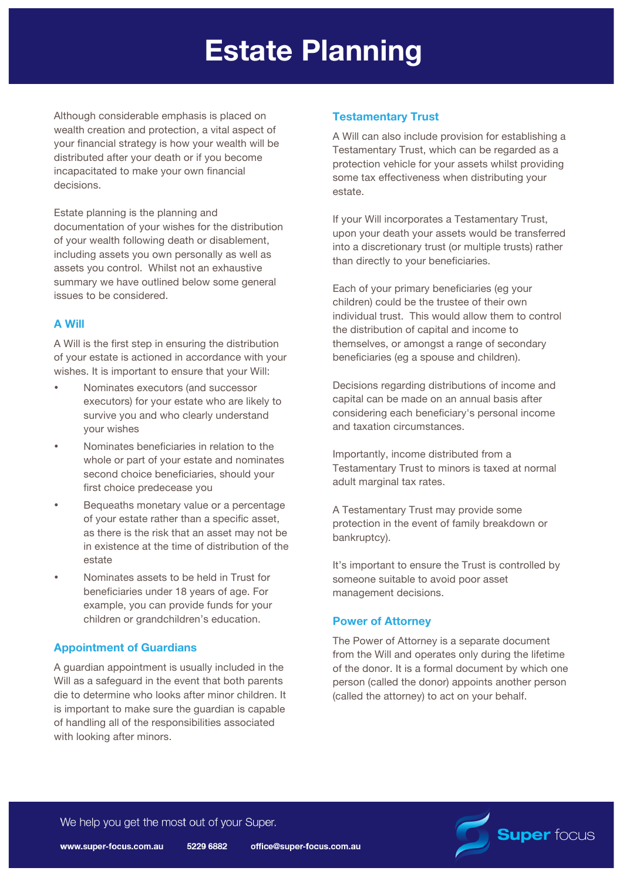# **Estate Planning**

Although considerable emphasis is placed on wealth creation and protection, a vital aspect of your financial strategy is how your wealth will be distributed after your death or if you become incapacitated to make your own financial decisions.

Estate planning is the planning and documentation of your wishes for the distribution of your wealth following death or disablement, including assets you own personally as well as assets you control. Whilst not an exhaustive summary we have outlined below some general issues to be considered.

# **A Will**

A Will is the first step in ensuring the distribution of your estate is actioned in accordance with your wishes. It is important to ensure that your Will:

- Nominates executors (and successor executors) for your estate who are likely to survive you and who clearly understand your wishes
- Nominates beneficiaries in relation to the whole or part of your estate and nominates second choice beneficiaries, should your first choice predecease you
- Bequeaths monetary value or a percentage of your estate rather than a specific asset, as there is the risk that an asset may not be in existence at the time of distribution of the estate
- Nominates assets to be held in Trust for beneficiaries under 18 years of age. For example, you can provide funds for your children or grandchildren's education.

# **Appointment of Guardians**

A guardian appointment is usually included in the Will as a safeguard in the event that both parents die to determine who looks after minor children. It is important to make sure the guardian is capable of handling all of the responsibilities associated with looking after minors.

# **Testamentary Trust**

A Will can also include provision for establishing a Testamentary Trust, which can be regarded as a protection vehicle for your assets whilst providing some tax effectiveness when distributing your estate.

If your Will incorporates a Testamentary Trust, upon your death your assets would be transferred into a discretionary trust (or multiple trusts) rather than directly to your beneficiaries.

Each of your primary beneficiaries (eg your children) could be the trustee of their own individual trust. This would allow them to control the distribution of capital and income to themselves, or amongst a range of secondary beneficiaries (eg a spouse and children).

Decisions regarding distributions of income and capital can be made on an annual basis after considering each beneficiary's personal income and taxation circumstances.

Importantly, income distributed from a Testamentary Trust to minors is taxed at normal adult marginal tax rates.

A Testamentary Trust may provide some protection in the event of family breakdown or bankruptcy).

It's important to ensure the Trust is controlled by someone suitable to avoid poor asset management decisions.

# **Power of Attorney**

The Power of Attorney is a separate document from the Will and operates only during the lifetime of the donor. It is a formal document by which one person (called the donor) appoints another person (called the attorney) to act on your behalf.

**Super focus** 

We help you get the most out of your Super.